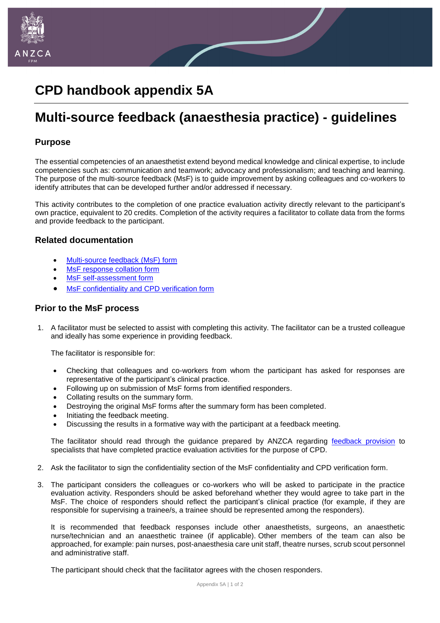

# **CPD handbook appendix 5A**

# **Multi-source feedback (anaesthesia practice) - guidelines**

#### **Purpose**

The essential competencies of an anaesthetist extend beyond medical knowledge and clinical expertise, to include competencies such as: communication and teamwork; advocacy and professionalism; and teaching and learning. The purpose of the multi-source feedback (MsF) is to guide improvement by asking colleagues and co-workers to identify attributes that can be developed further and/or addressed if necessary.

This activity contributes to the completion of one practice evaluation activity directly relevant to the participant's own practice, equivalent to 20 credits. Completion of the activity requires a facilitator to collate data from the forms and provide feedback to the participant.

#### **Related documentation**

- [Multi-source feedback \(MsF\) form](chrome-extension://oemmndcbldboiebfnladdacbdfmadadm/http:/www.anzca.edu.au/documents/appendix_4a_multisource_feedback_form.pdf)
- [MsF response collation form](chrome-extension://oemmndcbldboiebfnladdacbdfmadadm/http:/www.anzca.edu.au/documents/appendix-4-1a_multi_source_feedback_response_colla.pdf)
- [MsF self-assessment form](chrome-extension://oemmndcbldboiebfnladdacbdfmadadm/http:/www.anzca.edu.au/documents/appendix-4-2a_multisource_feedback_self_assessment.pdf)
- [MsF confidentiality and CPD verification form](chrome-extension://oemmndcbldboiebfnladdacbdfmadadm/http:/www.anzca.edu.au/documents/appendix_6_multissource_feedbak_confidentiality_an.pdf)

## **Prior to the MsF process**

1. A facilitator must be selected to assist with completing this activity. The facilitator can be a trusted colleague and ideally has some experience in providing feedback.

The facilitator is responsible for:

- Checking that colleagues and co-workers from whom the participant has asked for responses are representative of the participant's clinical practice.
- Following up on submission of MsF forms from identified responders.
- Collating results on the summary form.
- Destroying the original MsF forms after the summary form has been completed.
- Initiating the feedback meeting.
- Discussing the results in a formative way with the participant at a feedback meeting.

The facilitator should read through the guidance prepared by ANZCA regarding [feedback provision](https://networks.anzca.edu.au/d2l/home/7108) to specialists that have completed practice evaluation activities for the purpose of CPD.

- 2. Ask the facilitator to sign the confidentiality section of the MsF confidentiality and CPD verification form.
- 3. The participant considers the colleagues or co-workers who will be asked to participate in the practice evaluation activity. Responders should be asked beforehand whether they would agree to take part in the MsF. The choice of responders should reflect the participant's clinical practice (for example, if they are responsible for supervising a trainee/s, a trainee should be represented among the responders).

It is recommended that feedback responses include other anaesthetists, surgeons, an anaesthetic nurse/technician and an anaesthetic trainee (if applicable). Other members of the team can also be approached, for example: pain nurses, post-anaesthesia care unit staff, theatre nurses, scrub scout personnel and administrative staff.

The participant should check that the facilitator agrees with the chosen responders.